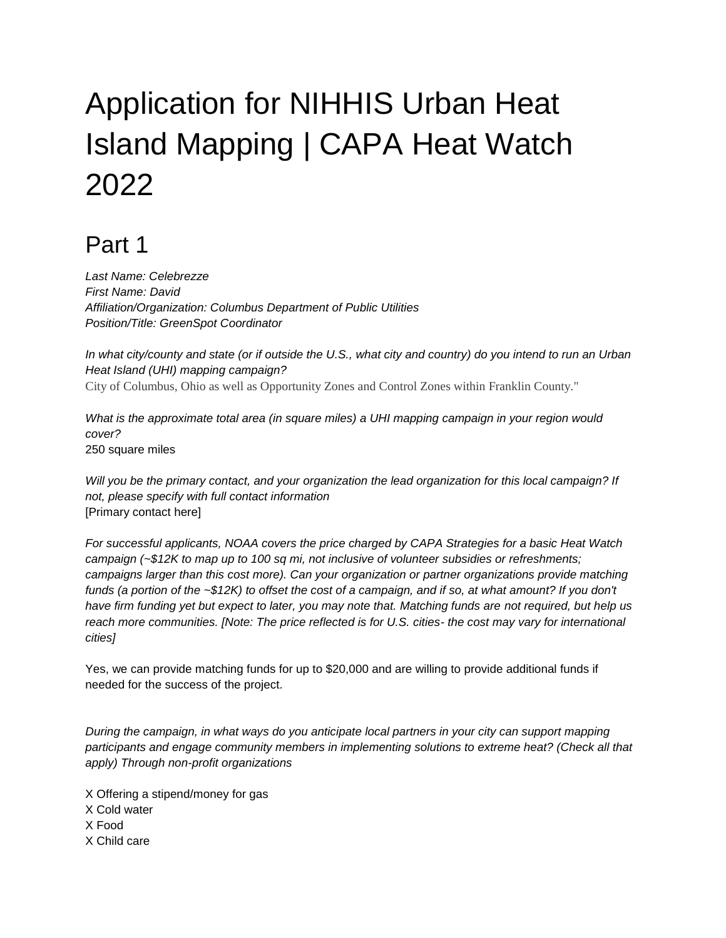# Application for NIHHIS Urban Heat Island Mapping | CAPA Heat Watch 2022

### Part 1

*Last Name: Celebrezze First Name: David Affiliation/Organization: Columbus Department of Public Utilities Position/Title: GreenSpot Coordinator*

*In what city/county and state (or if outside the U.S., what city and country) do you intend to run an Urban Heat Island (UHI) mapping campaign?* 

City of Columbus, Ohio as well as Opportunity Zones and Control Zones within Franklin County."

*What is the approximate total area (in square miles) a UHI mapping campaign in your region would cover?* 250 square miles

*Will you be the primary contact, and your organization the lead organization for this local campaign? If not, please specify with full contact information* [Primary contact here]

*For successful applicants, NOAA covers the price charged by CAPA Strategies for a basic Heat Watch campaign (~\$12K to map up to 100 sq mi, not inclusive of volunteer subsidies or refreshments; campaigns larger than this cost more). Can your organization or partner organizations provide matching funds (a portion of the ~\$12K) to offset the cost of a campaign, and if so, at what amount? If you don't have firm funding yet but expect to later, you may note that. Matching funds are not required, but help us reach more communities. [Note: The price reflected is for U.S. cities- the cost may vary for international cities]*

Yes, we can provide matching funds for up to \$20,000 and are willing to provide additional funds if needed for the success of the project.

*During the campaign, in what ways do you anticipate local partners in your city can support mapping participants and engage community members in implementing solutions to extreme heat? (Check all that apply) Through non-profit organizations*

X Offering a stipend/money for gas X Cold water X Food X Child care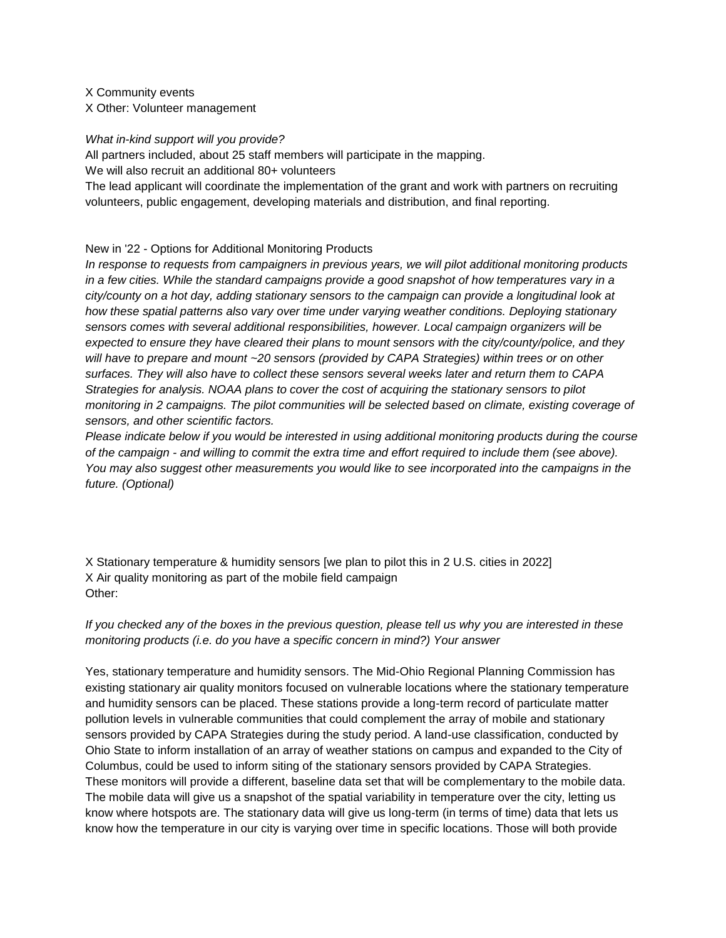X Community events X Other: Volunteer management

*What in-kind support will you provide?*

All partners included, about 25 staff members will participate in the mapping.

We will also recruit an additional 80+ volunteers

The lead applicant will coordinate the implementation of the grant and work with partners on recruiting volunteers, public engagement, developing materials and distribution, and final reporting.

#### New in '22 - Options for Additional Monitoring Products

*In response to requests from campaigners in previous years, we will pilot additional monitoring products in a few cities. While the standard campaigns provide a good snapshot of how temperatures vary in a city/county on a hot day, adding stationary sensors to the campaign can provide a longitudinal look at how these spatial patterns also vary over time under varying weather conditions. Deploying stationary sensors comes with several additional responsibilities, however. Local campaign organizers will be expected to ensure they have cleared their plans to mount sensors with the city/county/police, and they will have to prepare and mount ~20 sensors (provided by CAPA Strategies) within trees or on other surfaces. They will also have to collect these sensors several weeks later and return them to CAPA Strategies for analysis. NOAA plans to cover the cost of acquiring the stationary sensors to pilot monitoring in 2 campaigns. The pilot communities will be selected based on climate, existing coverage of sensors, and other scientific factors.*

*Please indicate below if you would be interested in using additional monitoring products during the course of the campaign - and willing to commit the extra time and effort required to include them (see above). You may also suggest other measurements you would like to see incorporated into the campaigns in the future. (Optional)*

X Stationary temperature & humidity sensors [we plan to pilot this in 2 U.S. cities in 2022] X Air quality monitoring as part of the mobile field campaign Other:

#### *If you checked any of the boxes in the previous question, please tell us why you are interested in these monitoring products (i.e. do you have a specific concern in mind?) Your answer*

Yes, stationary temperature and humidity sensors. The Mid-Ohio Regional Planning Commission has existing stationary air quality monitors focused on vulnerable locations where the stationary temperature and humidity sensors can be placed. These stations provide a long-term record of particulate matter pollution levels in vulnerable communities that could complement the array of mobile and stationary sensors provided by CAPA Strategies during the study period. A land-use classification, conducted by Ohio State to inform installation of an array of weather stations on campus and expanded to the City of Columbus, could be used to inform siting of the stationary sensors provided by CAPA Strategies. These monitors will provide a different, baseline data set that will be complementary to the mobile data. The mobile data will give us a snapshot of the spatial variability in temperature over the city, letting us know where hotspots are. The stationary data will give us long-term (in terms of time) data that lets us know how the temperature in our city is varying over time in specific locations. Those will both provide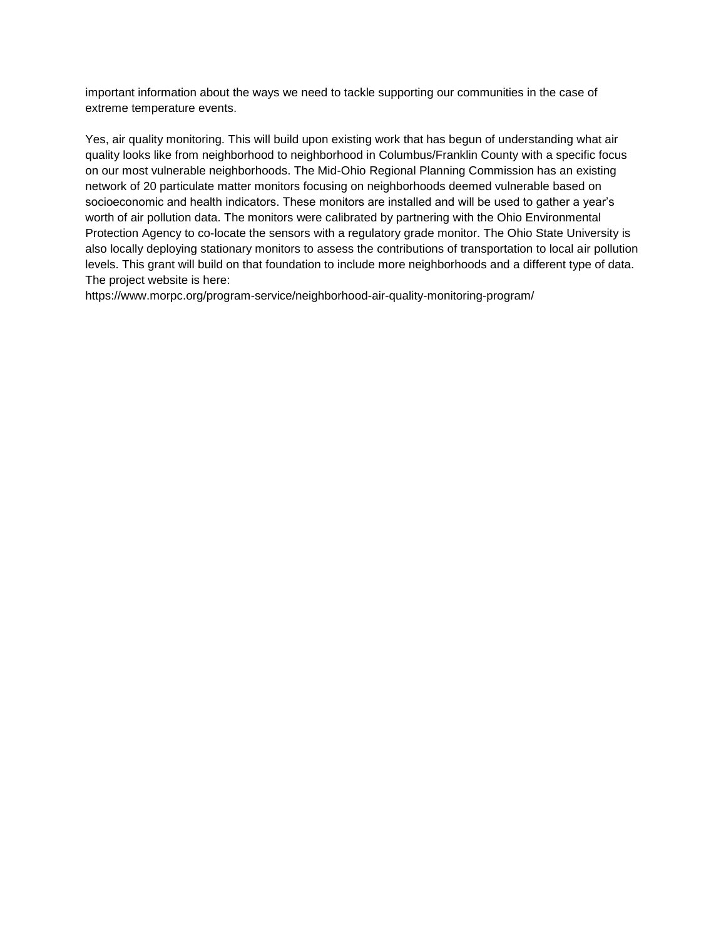important information about the ways we need to tackle supporting our communities in the case of extreme temperature events.

Yes, air quality monitoring. This will build upon existing work that has begun of understanding what air quality looks like from neighborhood to neighborhood in Columbus/Franklin County with a specific focus on our most vulnerable neighborhoods. The Mid-Ohio Regional Planning Commission has an existing network of 20 particulate matter monitors focusing on neighborhoods deemed vulnerable based on socioeconomic and health indicators. These monitors are installed and will be used to gather a year's worth of air pollution data. The monitors were calibrated by partnering with the Ohio Environmental Protection Agency to co-locate the sensors with a regulatory grade monitor. The Ohio State University is also locally deploying stationary monitors to assess the contributions of transportation to local air pollution levels. This grant will build on that foundation to include more neighborhoods and a different type of data. The project website is here:

https://www.morpc.org/program-service/neighborhood-air-quality-monitoring-program/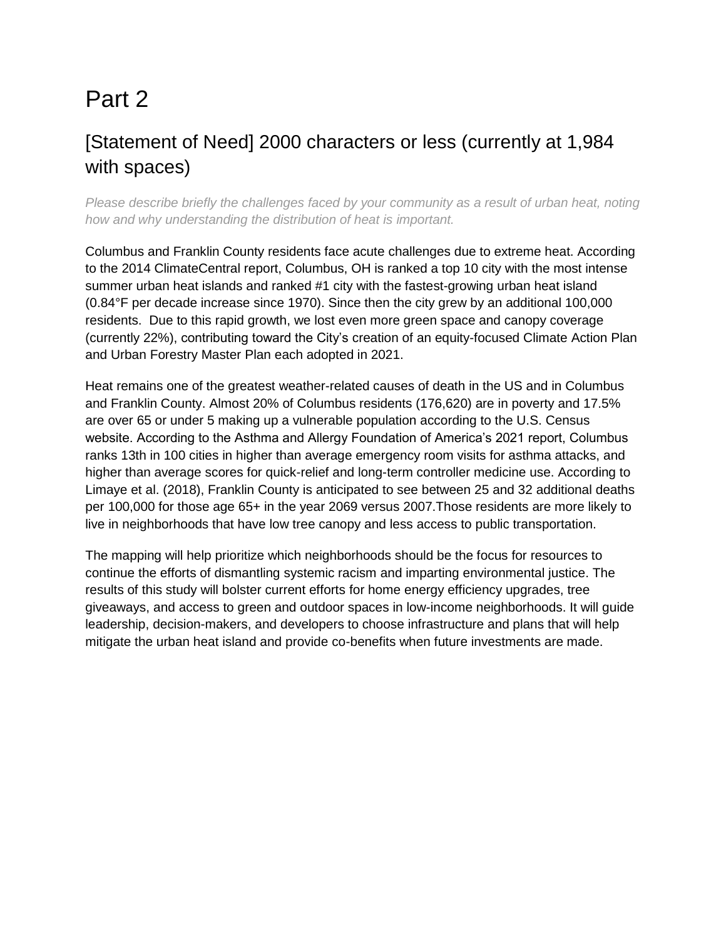## Part 2

### [Statement of Need] 2000 characters or less (currently at 1,984 with spaces)

*Please describe briefly the challenges faced by your community as a result of urban heat, noting how and why understanding the distribution of heat is important.*

Columbus and Franklin County residents face acute challenges due to extreme heat. According to the 2014 ClimateCentral report, Columbus, OH is ranked a top 10 city with the most intense summer urban heat islands and ranked #1 city with the fastest-growing urban heat island (0.84°F per decade increase since 1970). Since then the city grew by an additional 100,000 residents. Due to this rapid growth, we lost even more green space and canopy coverage (currently 22%), contributing toward the City's creation of an equity-focused Climate Action Plan and Urban Forestry Master Plan each adopted in 2021.

Heat remains one of the greatest weather-related causes of death in the US and in Columbus and Franklin County. Almost 20% of Columbus residents (176,620) are in poverty and 17.5% are over 65 or under 5 making up a vulnerable population according to the U.S. Census website. According to the Asthma and Allergy Foundation of America's 2021 report, Columbus ranks 13th in 100 cities in higher than average emergency room visits for asthma attacks, and higher than average scores for quick-relief and long-term controller medicine use. According to Limaye et al. (2018), Franklin County is anticipated to see between 25 and 32 additional deaths per 100,000 for those age 65+ in the year 2069 versus 2007.Those residents are more likely to live in neighborhoods that have low tree canopy and less access to public transportation.

The mapping will help prioritize which neighborhoods should be the focus for resources to continue the efforts of dismantling systemic racism and imparting environmental justice. The results of this study will bolster current efforts for home energy efficiency upgrades, tree giveaways, and access to green and outdoor spaces in low-income neighborhoods. It will guide leadership, decision-makers, and developers to choose infrastructure and plans that will help mitigate the urban heat island and provide co-benefits when future investments are made.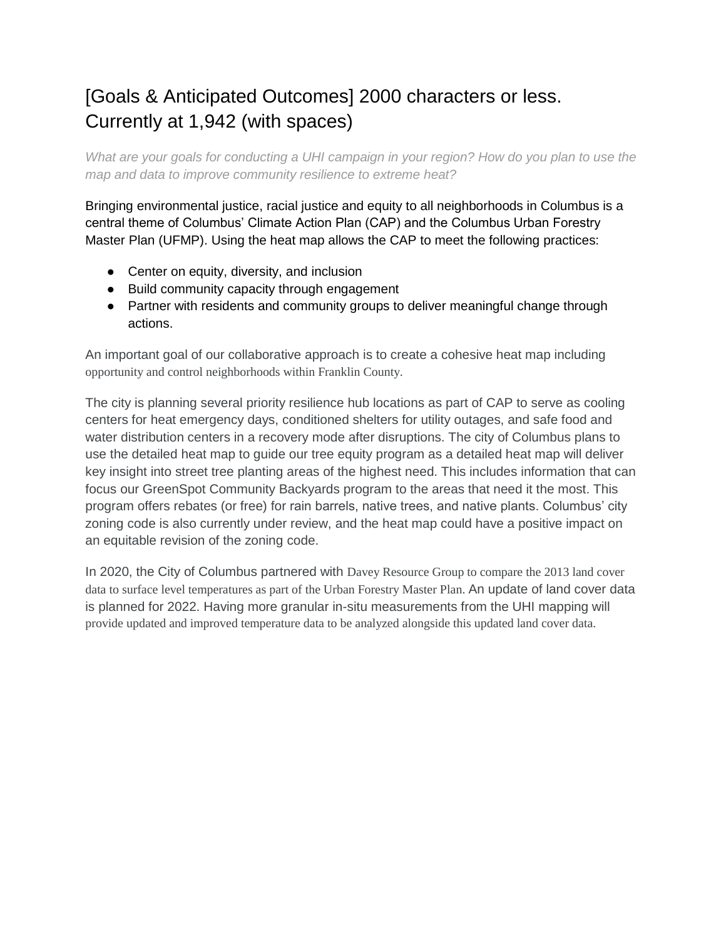#### [Goals & Anticipated Outcomes] 2000 characters or less. Currently at 1,942 (with spaces)

*What are your goals for conducting a UHI campaign in your region? How do you plan to use the map and data to improve community resilience to extreme heat?*

Bringing environmental justice, racial justice and equity to all neighborhoods in Columbus is a central theme of Columbus' Climate Action Plan (CAP) and the Columbus Urban Forestry Master Plan (UFMP). Using the heat map allows the CAP to meet the following practices:

- Center on equity, diversity, and inclusion
- Build community capacity through engagement
- Partner with residents and community groups to deliver meaningful change through actions.

An important goal of our collaborative approach is to create a cohesive heat map including opportunity and control neighborhoods within Franklin County.

The city is planning several priority resilience hub locations as part of CAP to serve as cooling centers for heat emergency days, conditioned shelters for utility outages, and safe food and water distribution centers in a recovery mode after disruptions. The city of Columbus plans to use the detailed heat map to guide our tree equity program as a detailed heat map will deliver key insight into street tree planting areas of the highest need. This includes information that can focus our GreenSpot Community Backyards program to the areas that need it the most. This program offers rebates (or free) for rain barrels, native trees, and native plants. Columbus' city zoning code is also currently under review, and the heat map could have a positive impact on an equitable revision of the zoning code.

In 2020, the City of Columbus partnered with Davey Resource Group to compare the 2013 land cover data to surface level temperatures as part of the Urban Forestry Master Plan. An update of land cover data is planned for 2022. Having more granular in-situ measurements from the UHI mapping will provide updated and improved temperature data to be analyzed alongside this updated land cover data.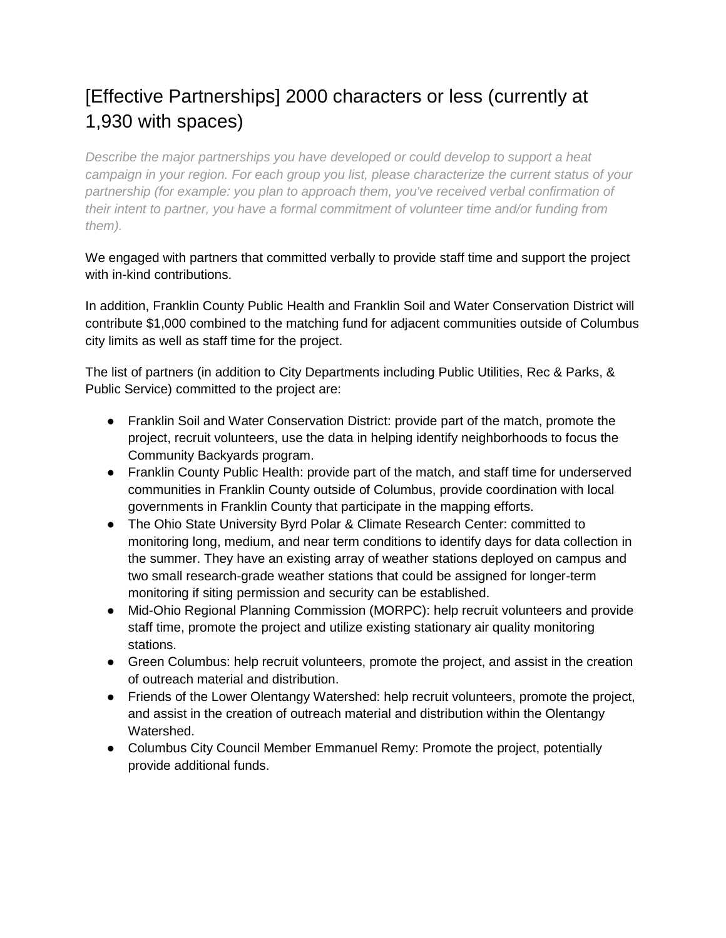### [Effective Partnerships] 2000 characters or less (currently at 1,930 with spaces)

*Describe the major partnerships you have developed or could develop to support a heat campaign in your region. For each group you list, please characterize the current status of your partnership (for example: you plan to approach them, you've received verbal confirmation of their intent to partner, you have a formal commitment of volunteer time and/or funding from them).*

We engaged with partners that committed verbally to provide staff time and support the project with in-kind contributions.

In addition, Franklin County Public Health and Franklin Soil and Water Conservation District will contribute \$1,000 combined to the matching fund for adjacent communities outside of Columbus city limits as well as staff time for the project.

The list of partners (in addition to City Departments including Public Utilities, Rec & Parks, & Public Service) committed to the project are:

- Franklin Soil and Water Conservation District: provide part of the match, promote the project, recruit volunteers, use the data in helping identify neighborhoods to focus the Community Backyards program.
- Franklin County Public Health: provide part of the match, and staff time for underserved communities in Franklin County outside of Columbus, provide coordination with local governments in Franklin County that participate in the mapping efforts.
- The Ohio State University Byrd Polar & Climate Research Center: committed to monitoring long, medium, and near term conditions to identify days for data collection in the summer. They have an existing array of weather stations deployed on campus and two small research-grade weather stations that could be assigned for longer-term monitoring if siting permission and security can be established.
- Mid-Ohio Regional Planning Commission (MORPC): help recruit volunteers and provide staff time, promote the project and utilize existing stationary air quality monitoring stations.
- Green Columbus: help recruit volunteers, promote the project, and assist in the creation of outreach material and distribution.
- Friends of the Lower Olentangy Watershed: help recruit volunteers, promote the project, and assist in the creation of outreach material and distribution within the Olentangy Watershed.
- Columbus City Council Member Emmanuel Remy: Promote the project, potentially provide additional funds.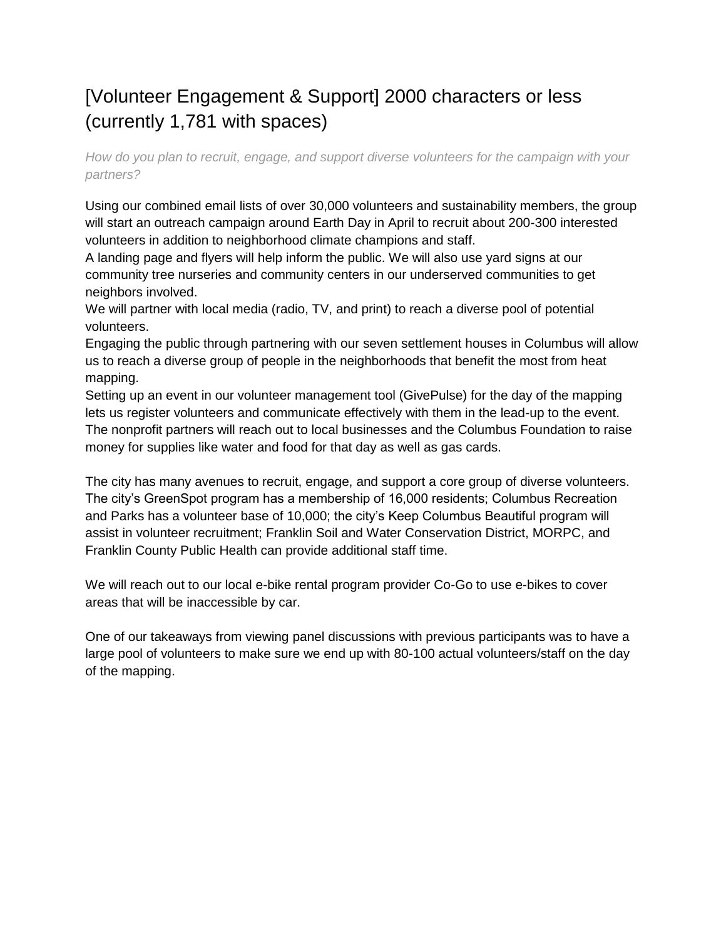#### [Volunteer Engagement & Support] 2000 characters or less (currently 1,781 with spaces)

*How do you plan to recruit, engage, and support diverse volunteers for the campaign with your partners?*

Using our combined email lists of over 30,000 volunteers and sustainability members, the group will start an outreach campaign around Earth Day in April to recruit about 200-300 interested volunteers in addition to neighborhood climate champions and staff.

A landing page and flyers will help inform the public. We will also use yard signs at our community tree nurseries and community centers in our underserved communities to get neighbors involved.

We will partner with local media (radio, TV, and print) to reach a diverse pool of potential volunteers.

Engaging the public through partnering with our seven settlement houses in Columbus will allow us to reach a diverse group of people in the neighborhoods that benefit the most from heat mapping.

Setting up an event in our volunteer management tool (GivePulse) for the day of the mapping lets us register volunteers and communicate effectively with them in the lead-up to the event. The nonprofit partners will reach out to local businesses and the Columbus Foundation to raise money for supplies like water and food for that day as well as gas cards.

The city has many avenues to recruit, engage, and support a core group of diverse volunteers. The city's GreenSpot program has a membership of 16,000 residents; Columbus Recreation and Parks has a volunteer base of 10,000; the city's Keep Columbus Beautiful program will assist in volunteer recruitment; Franklin Soil and Water Conservation District, MORPC, and Franklin County Public Health can provide additional staff time.

We will reach out to our local e-bike rental program provider Co-Go to use e-bikes to cover areas that will be inaccessible by car.

One of our takeaways from viewing panel discussions with previous participants was to have a large pool of volunteers to make sure we end up with 80-100 actual volunteers/staff on the day of the mapping.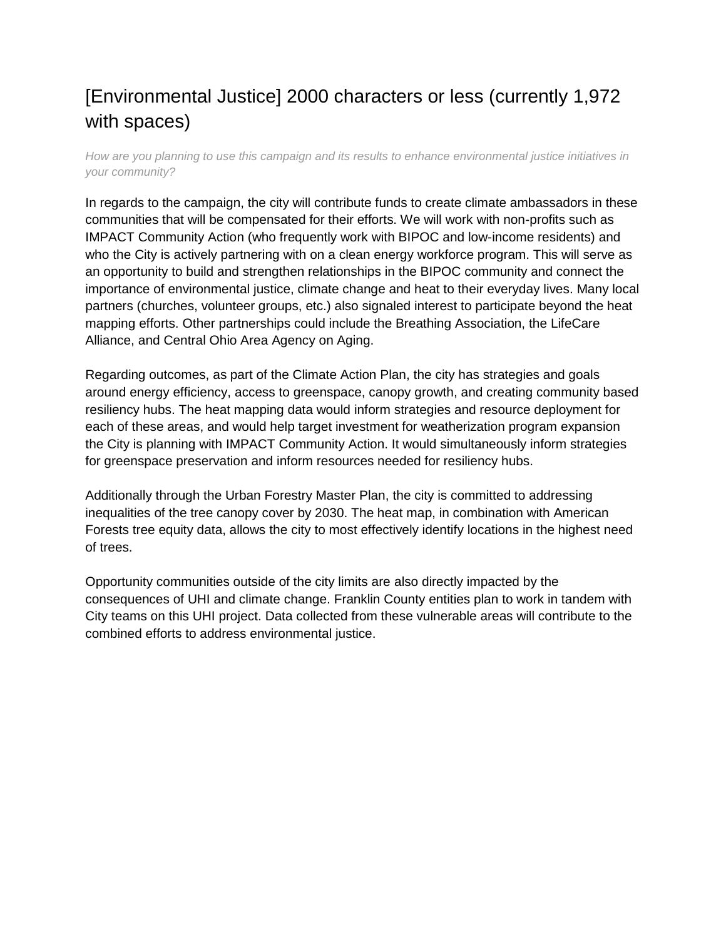#### [Environmental Justice] 2000 characters or less (currently 1,972 with spaces)

*How are you planning to use this campaign and its results to enhance environmental justice initiatives in your community?* 

In regards to the campaign, the city will contribute funds to create climate ambassadors in these communities that will be compensated for their efforts. We will work with non-profits such as IMPACT Community Action (who frequently work with BIPOC and low-income residents) and who the City is actively partnering with on a clean energy workforce program. This will serve as an opportunity to build and strengthen relationships in the BIPOC community and connect the importance of environmental justice, climate change and heat to their everyday lives. Many local partners (churches, volunteer groups, etc.) also signaled interest to participate beyond the heat mapping efforts. Other partnerships could include the Breathing Association, the LifeCare Alliance, and Central Ohio Area Agency on Aging.

Regarding outcomes, as part of the Climate Action Plan, the city has strategies and goals around energy efficiency, access to greenspace, canopy growth, and creating community based resiliency hubs. The heat mapping data would inform strategies and resource deployment for each of these areas, and would help target investment for weatherization program expansion the City is planning with IMPACT Community Action. It would simultaneously inform strategies for greenspace preservation and inform resources needed for resiliency hubs.

Additionally through the Urban Forestry Master Plan, the city is committed to addressing inequalities of the tree canopy cover by 2030. The heat map, in combination with American Forests tree equity data, allows the city to most effectively identify locations in the highest need of trees.

Opportunity communities outside of the city limits are also directly impacted by the consequences of UHI and climate change. Franklin County entities plan to work in tandem with City teams on this UHI project. Data collected from these vulnerable areas will contribute to the combined efforts to address environmental justice.